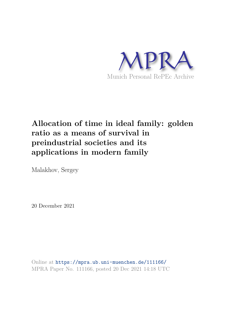

# **Allocation of time in ideal family: golden ratio as a means of survival in preindustrial societies and its applications in modern family**

Malakhov, Sergey

20 December 2021

Online at https://mpra.ub.uni-muenchen.de/111166/ MPRA Paper No. 111166, posted 20 Dec 2021 14:18 UTC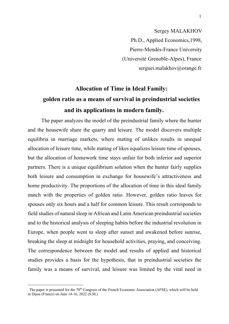Sergey MALAKHOV Ph.D., Applied Economics,1998, Pierre-Mendès-France University (Université Grenoble-Alpes), France serguei.malakhov@orange.fr

# **Allocation of Time in Ideal Family: golden ratio as a means of survival in preindustrial societies and its applications in modern family.**

The paper analyzes the model of the preindustrial family where the hunter and the housewife share the quarry and leisure. The model discovers multiple equilibria in marriage markets, where mating of unlikes results in unequal allocation of leisure time, while mating of likes equalizes leisure time of spouses, but the allocation of homework time stays unfair for both inferior and superior partners. There is a unique equilibrium solution when the hunter fairly supplies both leisure and consumption in exchange for housewife's attractiveness and home productivity. The proportions of the allocation of time in this ideal family match with the properties of golden ratio. However, golden ratio leaves for spouses only six hours and a half for common leisure. This result corresponds to field studies of natural sleep in African and Latin American preindustrial societies and to the historical analysis of sleeping habits before the industrial revolution in Europe, when people went to sleep after sunset and awakened before sunrise, breaking the sleep at midnight for household activities, praying, and conceiving. The correspondence between the model and results of applied and historical studies provides a basis for the hypothesis, that in preindustrial societies the family was a means of survival, and leisure was limited by the vital need in

The paper is presented for the 70<sup>th</sup> Congress of the French Economic Association (AFSE), which will be held in Dijon (France) on June 14-16, 2022 (S.M.)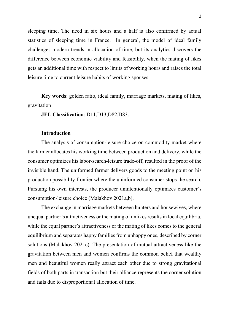sleeping time. The need in six hours and a half is also confirmed by actual statistics of sleeping time in France. In general, the model of ideal family challenges modern trends in allocation of time, but its analytics discovers the difference between economic viability and feasibility, when the mating of likes gets an additional time with respect to limits of working hours and raises the total leisure time to current leisure habits of working spouses.

**Key words**: golden ratio, ideal family, marriage markets, mating of likes, gravitation

**JEL Classification**: D11,D13,D82,D83.

#### **Introduction**

The analysis of consumption-leisure choice on commodity market where the farmer allocates his working time between production and delivery, while the consumer optimizes his labor-search-leisure trade-off, resulted in the proof of the invisible hand. The uniformed farmer delivers goods to the meeting point on his production possibility frontier where the uninformed consumer stops the search. Pursuing his own interests, the producer unintentionally optimizes customer's consumption-leisure choice (Malakhov 2021a,b).

The exchange in marriage markets between hunters and housewives, where unequal partner's attractiveness or the mating of unlikes results in local equilibria, while the equal partner's attractiveness or the mating of likes comes to the general equilibrium and separates happy families from unhappy ones, described by corner solutions (Malakhov 2021c). The presentation of mutual attractiveness like the gravitation between men and women confirms the common belief that wealthy men and beautiful women really attract each other due to strong gravitational fields of both parts in transaction but their alliance represents the corner solution and fails due to disproportional allocation of time.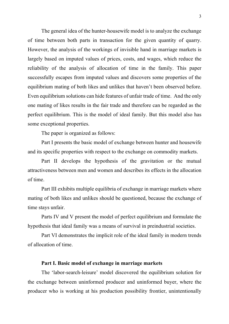The general idea of the hunter-housewife model is to analyze the exchange of time between both parts in transaction for the given quantity of quarry. However, the analysis of the workings of invisible hand in marriage markets is largely based on imputed values of prices, costs, and wages, which reduce the reliability of the analysis of allocation of time in the family. This paper successfully escapes from imputed values and discovers some properties of the equilibrium mating of both likes and unlikes that haven't been observed before. Even equilibrium solutions can hide features of unfair trade of time. And the only one mating of likes results in the fair trade and therefore can be regarded as the perfect equilibrium. This is the model of ideal family. But this model also has some exceptional properties.

The paper is organized as follows:

Part I presents the basic model of exchange between hunter and housewife and its specific properties with respect to the exchange on commodity markets.

Part II develops the hypothesis of the gravitation or the mutual attractiveness between men and women and describes its effects in the allocation of time.

Part III exhibits multiple equilibria of exchange in marriage markets where mating of both likes and unlikes should be questioned, because the exchange of time stays unfair.

Parts IV and V present the model of perfect equilibrium and formulate the hypothesis that ideal family was a means of survival in preindustrial societies.

Part VI demonstrates the implicit role of the ideal family in modern trends of allocation of time.

## **Part I. Basic model of exchange in marriage markets**

The 'labor-search-leisure' model discovered the equilibrium solution for the exchange between uninformed producer and uninformed buyer, where the producer who is working at his production possibility frontier, unintentionally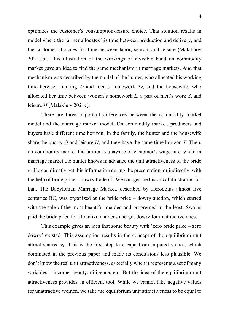optimizes the customer's consumption-leisure choice. This solution results in model where the farmer allocates his time between production and delivery, and the customer allocates his time between labor, search, and leisure (Malakhov 2021a,b). This illustration of the workings of invisible hand on commodity market gave an idea to find the same mechanism in marriage markets. And that mechanism was described by the model of the hunter, who allocated his working time between hunting  $T_f$  and men's homework  $T_d$ , and the housewife, who allocated her time between women's homework *L*, a part of men's work *S*, and leisure *H* (Malakhov 2021c).

There are three important differences between the commodity market model and the marriage market model. On commodity market, producers and buyers have different time horizon. In the family, the hunter and the housewife share the quarry *Q* and leisure *H*, and they have the same time horizon *T*. Then, on commodity market the farmer is unaware of customer's wage rate, while in marriage market the hunter knows in advance the unit attractiveness of the bride *w*. He can directly get this information during the presentation, or indirectly, with the help of bride price – dowry tradeoff. We can get the historical illustration for that. The Babylonian Marriage Market, described by Herodotus almost five centuries BC, was organized as the bride price – dowry auction, which started with the sale of the most beautiful maiden and progressed to the least. Swains paid the bride price for attractive maidens and got dowry for unattractive ones.

This example gives an idea that some beauty with 'zero bride price – zero dowry' existed. This assumption results in the concept of the equilibrium unit attractiveness  $w_e$ . This is the first step to escape from imputed values, which dominated in the previous paper and made its conclusions less plausible. We don't know the real unit attractiveness, especially when it represents a set of many variables – income, beauty, diligence, etc. But the idea of the equilibrium unit attractiveness provides an efficient tool. While we cannot take negative values for unattractive women, we take the equilibrium unit attractiveness to be equal to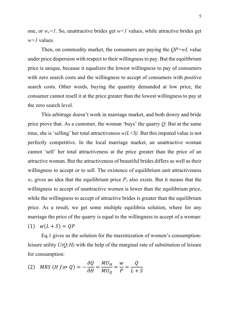one, or  $w_e = 1$ . So, unattractive brides get  $w \le 1$  values, while attractive brides get *w>1* values.

Then, on commodity market, the consumers are paying the *QP=wL* value under price dispersion with respect to their willingness to pay. But the equilibrium price is unique, because it equalizes the lowest willingness to pay of consumers with zero search costs and the willingness to accept of consumers with positive search costs. Other words, buying the quantity demanded at low price, the consumer cannot resell it at the price greater than the lowest willingness to pay at the zero search level.

This arbitrage doesn't work in marriage market, and both dowry and bride price prove that. As a customer, the woman 'buys' the quarry *Q*. But at the same time, she is 'selling' her total attractiveness  $w(L+S)$ . But this imputed value is not perfectly competitive. In the local marriage market, an unattractive woman cannot 'sell' her total attractiveness at the price greater than the price of an attractive woman. But the attractiveness of beautiful brides differs as well as their willingness to accept or to sell. The existence of equilibrium unit attractiveness  $w_e$  gives an idea that the equilibrium price  $P_e$  also exists. But it means that the willingness to accept of unattractive women is lower than the equilibrium price, while the willingness to accept of attractive brides is greater than the equilibrium price. As a result, we get some multiple equilibria solution, where for any marriage the price of the quarry is equal to the willingness to accept of a woman: (1)  $w(L + S) = OP$ 

Eq.1 gives us the solution for the maximization of women's consumptionleisure utility *U(Q;H)* with the help of the marginal rate of substitution of leisure for consumption:

(2) *MRS* (*H for Q*) = 
$$
-\frac{\partial Q}{\partial H} = \frac{MU_H}{MU_Q} = \frac{W}{P} = \frac{Q}{L+S}
$$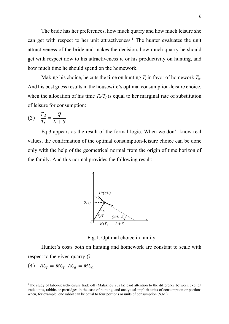The bride has her preferences, how much quarry and how much leisure she can get with respect to her unit attractiveness.<sup>1</sup> The hunter evaluates the unit attractiveness of the bride and makes the decision, how much quarry he should get with respect now to his attractiveness *v*, or his productivity on hunting, and how much time he should spend on the homework.

Making his choice, he cuts the time on hunting  $T_f$  in favor of homework  $T_d$ . And his best guess results in the housewife's optimal consumption-leisure choice, when the allocation of his time  $T_d/T_f$  is equal to her marginal rate of substitution of leisure for consumption:

$$
(3) \quad \frac{T_d}{T_f} = \frac{Q}{L+S}
$$

Eq.3 appears as the result of the formal logic. When we don't know real values, the confirmation of the optimal consumption-leisure choice can be done only with the help of the geometrical normal from the origin of time horizon of the family. And this normal provides the following result:



Fig.1. Optimal choice in family

Hunter's costs both on hunting and homework are constant to scale with respect to the given quarry *Q*:

$$
(4) \quad AC_f = MC_f; AC_d = MC_d
$$

<sup>&</sup>lt;sup>1</sup>The study of labor-search-leisure trade-off (Malakhov 2021a) paid attention to the difference between explicit trade units, rabbits or partridges in the case of hunting, and analytical implicit units of consumption or portions when, for example, one rabbit can be equal to four portions or units of consumption (S.M.)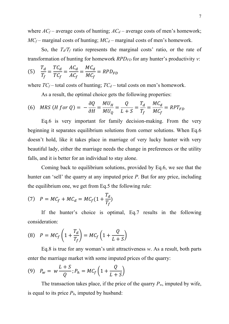where  $AC_f$  – average costs of hunting;  $AC_d$  – average costs of men's homework;  $MC_f$  – marginal costs of hunting;  $MC_d$  – marginal costs of men's homework.

So, the  $T_d/T_f$  ratio represents the marginal costs' ratio, or the rate of transformation of hunting for homework *RPDFD* for any hunter's productivity *v*:

(5) 
$$
\frac{T_d}{T_f} = \frac{TC_d}{TC_f} = \frac{AC_d}{AC_f} = \frac{MC_d}{MC_f} = RPD_{FD}
$$

where  $TC_f$  – total costs of hunting;  $TC_d$  – total costs on men's homework.

As a result, the optimal choice gets the following properties:

(6) *MRS* (*H for Q*) = 
$$
-\frac{\partial Q}{\partial H} = \frac{MU_H}{MU_Q} = \frac{Q}{L+S} = \frac{T_d}{T_f} = \frac{MC_d}{MC_f} = RPT_{FD}
$$

Eq.6 is very important for family decision-making. From the very beginning it separates equilibrium solutions from corner solutions. When Eq.6 doesn't hold, like it takes place in marriage of very lucky hunter with very beautiful lady, either the marriage needs the change in preferences or the utility falls, and it is better for an individual to stay alone.

Coming back to equilibrium solutions, provided by Eq.6, we see that the hunter can 'sell' the quarry at any imputed price *P*. But for any price, including the equilibrium one, we get from Eq.5 the following rule:

(7) 
$$
P = MC_f + MC_d = MC_f(1 + \frac{T_d}{T_f})
$$

If the hunter's choice is optimal, Eq.7 results in the following consideration:

$$
(8) \quad P = MC_f \left( 1 + \frac{T_d}{T_f} \right) = MC_f \left( 1 + \frac{Q}{L+S} \right)
$$

Eq.8 is true for any woman's unit attractiveness *w*. As a result, both parts enter the marriage market with some imputed prices of the quarry:

$$
(9) \quad P_w = w \frac{L+S}{Q}; P_h = MC_f \left(1 + \frac{Q}{L+S}\right)
$$

The transaction takes place, if the price of the quarry  $P_w$ , imputed by wife, is equal to its price  $P_h$ , imputed by husband: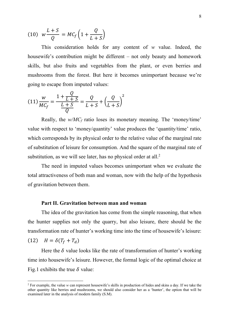$$
(10) \t w \frac{L+S}{Q} = MC_f \left(1 + \frac{Q}{L+S}\right)
$$

This consideration holds for any content of *w* value. Indeed, the housewife's contribution might be different – not only beauty and homework skills, but also fruits and vegetables from the plant, or even berries and mushrooms from the forest. But here it becomes unimportant because we're going to escape from imputed values:

$$
(11)\frac{w}{MC_f} = \frac{1 + \frac{Q}{L+S}}{\frac{L+S}{Q}} = \frac{Q}{L+S} + \left(\frac{Q}{L+S}\right)^2
$$

Really, the *w/MC<sup>f</sup>* ratio loses its monetary meaning. The 'money/time' value with respect to 'money/quantity' value produces the 'quantity/time' ratio, which corresponds by its physical order to the relative value of the marginal rate of substitution of leisure for consumption. And the square of the marginal rate of substitution, as we will see later, has no physical order at all.<sup>2</sup>

The need in imputed values becomes unimportant when we evaluate the total attractiveness of both man and woman, now with the help of the hypothesis of gravitation between them.

#### **Part II. Gravitation between man and woman**

The idea of the gravitation has come from the simple reasoning, that when the hunter supplies not only the quarry, but also leisure, there should be the transformation rate of hunter's working time into the time of housewife's leisure:

(12)  $H = \delta (T_f + T_d)$ 

Here the  $\delta$  value looks like the rate of transformation of hunter's working time into housewife's leisure. However, the formal logic of the optimal choice at Fig.1 exhibits the true  $\delta$  value:

<sup>2</sup> For example, the value *w* can represent housewife's skills in production of hides and skins a day. If we take the other quantity like berries and mushrooms, we should also consider her as a 'hunter', the option that will be examined later in the analysis of modern family (S.M).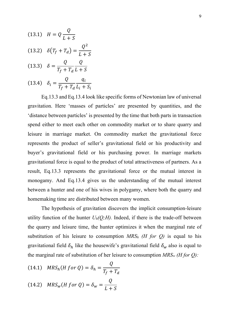(13.1) 
$$
H = Q \frac{Q}{L+S}
$$
  
\n(13.2)  $\delta(T_f + T_d) = \frac{Q^2}{L+S}$   
\n(13.3)  $\delta = \frac{Q}{T_f + T_d} \frac{Q}{L+S}$   
\n(13.4)  $\delta_i = \frac{Q}{T_f + T_d} \frac{q_i}{L_i + S_i}$ 

Eq.13.3 and Eq.13.4 look like specific forms of Newtonian law of universal gravitation. Here 'masses of particles' are presented by quantities, and the 'distance between particles' is presented by the time that both parts in transaction spend either to meet each other on commodity market or to share quarry and leisure in marriage market. On commodity market the gravitational force represents the product of seller's gravitational field or his productivity and buyer's gravitational field or his purchasing power. In marriage markets gravitational force is equal to the product of total attractiveness of partners. As a result, Eq.13.3 represents the gravitational force or the mutual interest in monogamy. And Eq.13.4 gives us the understanding of the mutual interest between a hunter and one of his wives in polygamy, where both the quarry and homemaking time are distributed between many women.

The hypothesis of gravitation discovers the implicit consumption-leisure utility function of the hunter  $U_h(Q;H)$ . Indeed, if there is the trade-off between the quarry and leisure time, the hunter optimizes it when the marginal rate of substitution of his leisure to consumption  $MRS_h$  (*H for Q*) is equal to his gravitational field  $\delta_h$  like the housewife's gravitational field  $\delta_w$  also is equal to the marginal rate of substitution of her leisure to consumption *MRS<sup>w</sup> (H for Q):*

(14.1) 
$$
MRS_h(H for Q) = \delta_h = \frac{Q}{T_f + T_d}
$$
  
(14.2) 
$$
MRS_w(H for Q) = \delta_w = \frac{Q}{L + S}
$$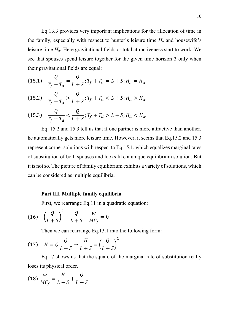Eq.13.3 provides very important implications for the allocation of time in the family, especially with respect to hunter's leisure time  $H_h$  and housewife's leisure time *Hw*. Here gravitational fields or total attractiveness start to work. We see that spouses spend leisure together for the given time horizon *T* only when their gravitational fields are equal:

(15.1) 
$$
\frac{Q}{T_f + T_d} = \frac{Q}{L + S}; T_f + T_d = L + S; H_h = H_w
$$

$$
(15.2) \quad \frac{Q}{T_f + T_d} > \frac{Q}{L + S}; T_f + T_d < L + S; H_h > H_w
$$

$$
(15.3) \quad \frac{Q}{T_f + T_d} < \frac{Q}{L + S}; T_f + T_d > L + S; H_h < H_w
$$

Eq. 15.2 and 15.3 tell us that if one partner is more attractive than another, he automatically gets more leisure time. However, it seems that Eq.15.2 and 15.3 represent corner solutions with respect to Eq.15.1, which equalizes marginal rates of substitution of both spouses and looks like a unique equilibrium solution. But it is not so. The picture of family equilibrium exhibits a variety of solutions, which can be considered as multiple equilibria.

### **Part III. Multiple family equilibria**

First, we rearrange Eq.11 in a quadratic equation:

(16) 
$$
\left(\frac{Q}{L+S}\right)^2 + \frac{Q}{L+S} - \frac{W}{MC_f} = 0
$$

Then we can rearrange Eq.13.1 into the following form:

$$
(17) \quad H = Q \frac{Q}{L+S} \rightarrow \frac{H}{L+S} = \left(\frac{Q}{L+S}\right)^2
$$

Eq.17 shows us that the square of the marginal rate of substitution really loses its physical order.

$$
(18)\ \frac{w}{MC_f} = \frac{H}{L+S} + \frac{Q}{L+S}
$$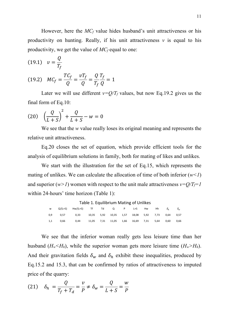However, here the *MC<sup>f</sup>* value hides husband's unit attractiveness or his productivity on hunting. Really, if his unit attractiveness  $\nu$  is equal to his productivity, we get the value of *MC<sup>f</sup>* equal to one:

(19.1) 
$$
v = \frac{Q}{T_f}
$$
  
(19.2)  $MC_f = \frac{TC_f}{Q} = \frac{vT_f}{Q} = \frac{Q}{T_f} \frac{T_f}{Q} = 1$ 

Later we will use different  $v=Q/T_f$  values, but now Eq.19.2 gives us the final form of Eq.10:

(20) 
$$
\left(\frac{Q}{L+S}\right)^2 + \frac{Q}{L+S} - w = 0
$$

We see that the *w* value really loses its original meaning and represents the relative unit attractiveness.

Eq.20 closes the set of equation, which provide efficient tools for the analysis of equilibrium solutions in family, both for mating of likes and unlikes.

We start with the illustration for the set of Eq.15, which represents the mating of unlikes. We can calculate the allocation of time of both inferior  $(w<1)$ and superior  $(w>1)$  women with respect to the unit male attractiveness  $v=Q/T_f=1$ within 24-hours' time horizon (Table 1):

| Table 1. Equilibrium Mating of Unlikes |           |               |            |      |            |      |            |      |      |                                 |            |
|----------------------------------------|-----------|---------------|------------|------|------------|------|------------|------|------|---------------------------------|------------|
| W                                      | $Q/(L+S)$ | $Hw/(L+S)$ Tf |            | Td   | Q          | P    | L+S        | Hw   | Hh   | $\delta_{\scriptscriptstyle h}$ | $\delta_w$ |
| 0,9                                    | 0,57      | 0.33          | 10,35 5,92 |      | 10,35 1,57 |      | 18,08 5,92 |      | 7.73 | 0.64                            | 0.57       |
| 1,1                                    | 0.66      | 0.44          | 11,05      | 7,31 | 11,05      | 1,66 | 16,69      | 7.31 | 5.64 | 0.60                            | 0.66       |

We see that the inferior woman really gets less leisure time than her husband  $(H_w \leq H_h)$ , while the superior woman gets more leisure time  $(H_w \geq H_h)$ . And their gravitation fields  $\delta_w$  and  $\delta_h$  exhibit these inequalities, produced by Eq.15.2 and 15.3, that can be confirmed by ratios of attractiveness to imputed price of the quarry:

$$
(21) \quad \delta_h = \frac{Q}{T_f + T_d} = \frac{\nu}{P} \neq \delta_w = \frac{Q}{L + S} = \frac{w}{P}
$$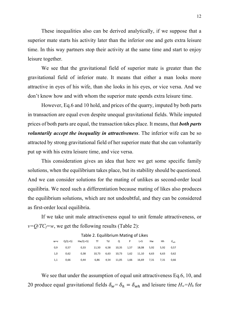These inequalities also can be derived analytically, if we suppose that a superior mate starts his activity later than the inferior one and gets extra leisure time. In this way partners stop their activity at the same time and start to enjoy leisure together.

We see that the gravitational field of superior mate is greater than the gravitational field of inferior mate. It means that either a man looks more attractive in eyes of his wife, than she looks in his eyes, or vice versa. And we don't know how and with whom the superior mate spends extra leisure time.

However, Eq.6 and 10 hold, and prices of the quarry, imputed by both parts in transaction are equal even despite unequal gravitational fields. While imputed prices of both parts are equal, the transaction takes place. It means, that *both parts voluntarily accept the inequality in attractiveness*. The inferior wife can be so attracted by strong gravitational field of her superior mate that she can voluntarily put up with his extra leisure time, and vice versa.

This consideration gives an idea that here we get some specific family solutions, when the equilibrium takes place, but its stability should be questioned. And we can consider solutions for the mating of unlikes as second-order local equilibria. We need such a differentiation because mating of likes also produces the equilibrium solutions, which are not undoubtful, and they can be considered as first-order local equilibria.

If we take unit male attractiveness equal to unit female attractiveness, or  $v=Q/TC_f=w$ , we get the following results (Table 2):

|     | w=v Q/(L+S) Hw/(L+S) Tf Td Q P L+S Hw Hh                      |  |  |  | $\delta_{wh}$ |
|-----|---------------------------------------------------------------|--|--|--|---------------|
| 0,9 | 0,57  0,33  11,50  6,58  10,35  1,57  18,08  5,92  5,92  0,57 |  |  |  |               |
| 1,0 | 0,62 0,38 10,73 6,63 10,73 1,62 11,10 6,63 6,63 0,62          |  |  |  |               |
| 1,1 | 0,66  0,44  6,86  4,54  11,05  1,66  16,69  7,31  7,31  0,66  |  |  |  |               |

#### Table 2. Equilibrium Mating of Likes

We see that under the assumption of equal unit attractiveness Eq.6, 10, and 20 produce equal gravitational fields  $\delta_w = \delta_h = \delta_{wh}$  and leisure time  $H_w = H_h$  for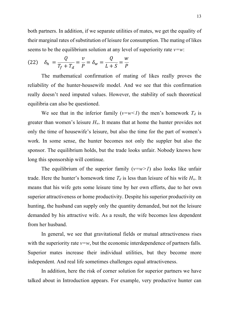both partners. In addition, if we separate utilities of mates, we get the equality of their marginal rates of substitution of leisure for consumption. The mating of likes seems to be the equilibrium solution at any level of superiority rate *v=w*:

(22) 
$$
\delta_h = \frac{Q}{T_f + T_d} = \frac{v}{P} = \delta_w = \frac{Q}{L + S} = \frac{w}{P}
$$

The mathematical confirmation of mating of likes really proves the reliability of the hunter-housewife model. And we see that this confirmation really doesn't need imputed values. However, the stability of such theoretical equilibria can also be questioned.

We see that in the inferior family  $(v=w<1)$  the men's homework  $T_d$  is greater than women's leisure  $H_w$ . It means that at home the hunter provides not only the time of housewife's leisure, but also the time for the part of women's work. In some sense, the hunter becomes not only the suppler but also the sponsor. The equilibrium holds, but the trade looks unfair. Nobody knows how long this sponsorship will continue.

The equilibrium of the superior family  $(v=w>1)$  also looks like unfair trade. Here the hunter's homework time  $T_d$  is less than leisure of his wife  $H_w$ . It means that his wife gets some leisure time by her own efforts, due to her own superior attractiveness or home productivity. Despite his superior productivity on hunting, the husband can supply only the quantity demanded, but not the leisure demanded by his attractive wife. As a result, the wife becomes less dependent from her husband.

In general, we see that gravitational fields or mutual attractiveness rises with the superiority rate  $v=w$ , but the economic interdependence of partners falls. Superior mates increase their individual utilities, but they become more independent. And real life sometimes challenges equal attractiveness.

In addition, here the risk of corner solution for superior partners we have talked about in Introduction appears. For example, very productive hunter can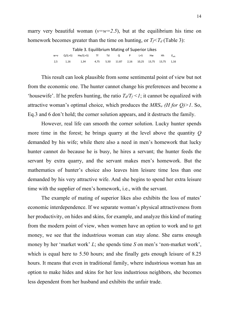marry very beautiful woman ( $v=w=2.5$ ), but at the equilibrium his time on homework becomes greater than the time on hunting, or  $T_f \leq T_d$  (Table 3):

|       | Table 3. Equilibrium Mating of Superior Likes |      |  |  |                                             |  |  |  |      |               |  |
|-------|-----------------------------------------------|------|--|--|---------------------------------------------|--|--|--|------|---------------|--|
| $W=V$ |                                               |      |  |  |                                             |  |  |  | - Hh | $\delta_{wh}$ |  |
| 2.5   | 1.16                                          | 1.34 |  |  | 4,75 5,50 11.87 2,16 10,25 13,75 13,75 1,16 |  |  |  |      |               |  |

This result can look plausible from some sentimental point of view but not from the economic one. The hunter cannot change his preferences and become a 'housewife'. If he prefers hunting, the ratio  $T_d/T_f \leq l$ ; it cannot be equalized with attractive woman's optimal choice, which produces the  $MRS_W$  (*H* for *Q*)>1. So, Eq.3 and 6 don't hold; the corner solution appears, and it destructs the family.

However, real life can smooth the corner solution. Lucky hunter spends more time in the forest; he brings quarry at the level above the quantity *Q* demanded by his wife; while there also a need in men's homework that lucky hunter cannot do because he is busy, he hires a servant; the hunter feeds the servant by extra quarry, and the servant makes men's homework. But the mathematics of hunter's choice also leaves him leisure time less than one demanded by his very attractive wife. And she begins to spend her extra leisure time with the supplier of men's homework, i.e., with the servant.

The example of mating of superior likes also exhibits the loss of mates' economic interdependence. If we separate woman's physical attractiveness from her productivity, on hides and skins, for example, and analyze this kind of mating from the modern point of view, when women have an option to work and to get money, we see that the industrious woman can stay alone. She earns enough money by her 'market work' *L*; she spends time *S* on men's 'non-market work', which is equal here to 5.50 hours; and she finally gets enough leisure of 8.25 hours. It means that even in traditional family, where industrious woman has an option to make hides and skins for her less industrious neighbors, she becomes less dependent from her husband and exhibits the unfair trade.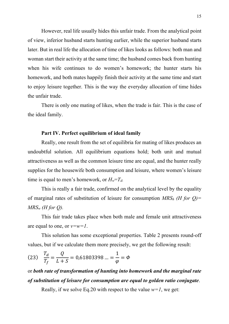However, real life usually hides this unfair trade. From the analytical point of view, inferior husband starts hunting earlier, while the superior husband starts later. But in real life the allocation of time of likes looks as follows: both man and woman start their activity at the same time; the husband comes back from hunting when his wife continues to do women's homework; the hunter starts his homework, and both mates happily finish their activity at the same time and start to enjoy leisure together. This is the way the everyday allocation of time hides the unfair trade.

There is only one mating of likes, when the trade is fair. This is the case of the ideal family.

### **Part IV. Perfect equilibrium of ideal family**

Really, one result from the set of equilibria for mating of likes produces an undoubtful solution. All equilibrium equations hold; both unit and mutual attractiveness as well as the common leisure time are equal, and the hunter really supplies for the housewife both consumption and leisure, where women's leisure time is equal to men's homework, or  $H_w = T_d$ .

This is really a fair trade, confirmed on the analytical level by the equality of marginal rates of substitution of leisure for consumption *MRS<sup>h</sup> (H for Q)= MRS<sup>w</sup> (H for Q).*

This fair trade takes place when both male and female unit attractiveness are equal to one, or *v=w=1*.

This solution has some exceptional properties. Table 2 presents round-off values, but if we calculate them more precisely, we get the following result:

(23) 
$$
\frac{T_d}{T_f} = \frac{Q}{L+S} = 0.61803398 ... = \frac{1}{\varphi} = \Phi
$$

# or *both rate of transformation of hunting into homework and the marginal rate of substitution of leisure for consumption are equal to golden ratio conjugate*.

Really, if we solve Eq.20 with respect to the value  $w=1$ , we get: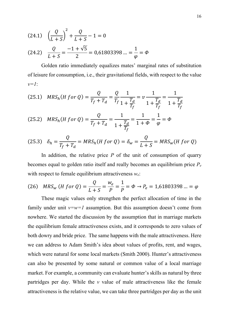(24.1) 
$$
\left(\frac{Q}{L+S}\right)^2 + \frac{Q}{L+S} - 1 = 0
$$
  
(24.2)  $\frac{Q}{L+S} = \frac{-1+\sqrt{5}}{2} = 0.61803398 ... = \frac{1}{\varphi} = \Phi$ 

Golden ratio immediately equalizes mates' marginal rates of substitution of leisure for consumption, i.e., their gravitational fields, with respect to the value *v=1*:

$$
(25.1) \quad MRS_h(H \text{ for } Q) = \frac{Q}{T_f + T_d} = \frac{Q}{T_f} \frac{1}{1 + \frac{T_d}{T_f}} = \nu \frac{1}{1 + \frac{T_d}{T_f}} = \frac{1}{1 + \frac{T_d}{T_f}}
$$

(25.2) 
$$
MRS_h(H \text{ for } Q) = \frac{Q}{T_f + T_d} = \frac{1}{1 + \frac{T_d}{T_f}} = \frac{1}{1 + \Phi} = \frac{1}{\varphi} = \Phi
$$

$$
(25.3) \quad \delta_h = \frac{Q}{T_f + T_d} = MRS_h(H \text{ for } Q) = \delta_w = \frac{Q}{L+S} = MRS_w(H \text{ for } Q)
$$

In addition, the relative price  $P$  of the unit of consumption of quarry becomes equal to golden ratio itself and really becomes an equilibrium price *P<sup>e</sup>* with respect to female equilibrium attractiveness *we*:

(26) 
$$
MRS_w (H \text{ for } Q) = \frac{Q}{L+S} = \frac{w_e}{P} = \frac{1}{P} = \Phi \rightarrow P_e = 1,61803398 \dots = \varphi
$$

These magic values only strengthen the perfect allocation of time in the family under unit  $v=w=1$  assumption. But this assumption doesn't come from nowhere. We started the discussion by the assumption that in marriage markets the equilibrium female attractiveness exists, and it corresponds to zero values of both dowry and bride price. The same happens with the male attractiveness. Here we can address to Adam Smith's idea about values of profits, rent, and wages, which were natural for some local markets (Smith 2000). Hunter's attractiveness can also be presented by some natural or common value of a local marriage market. For example, a community can evaluate hunter's skills as natural by three partridges per day. While the *v* value of male attractiveness like the female attractiveness is the relative value, we can take three partridges per day as the unit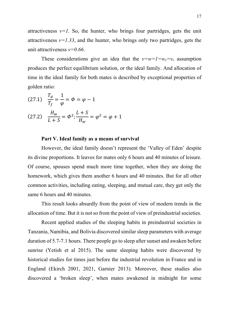attractiveness  $v=1$ . So, the hunter, who brings four partridges, gets the unit attractiveness  $v=1.33$ , and the hunter, who brings only two partridges, gets the unit attractiveness *v=0.66*.

These considerations give an idea that the  $v=w=1=w_e=v_e$  assumption produces the perfect equilibrium solution, or the ideal family. And allocation of time in the ideal family for both mates is described by exceptional properties of golden ratio:

(27.1) 
$$
\frac{T_d}{T_f} = \frac{1}{\varphi} = \varphi = \varphi - 1
$$
  
(27.2) 
$$
\frac{H_w}{L+S} = \varphi^2; \frac{L+S}{H_w} = \varphi^2 = \varphi + 1
$$

#### **Part V. Ideal family as a means of survival**

However, the ideal family doesn't represent the 'Valley of Eden' despite its divine proportions. It leaves for mates only 6 hours and 40 minutes of leisure. Of course, spouses spend much more time together, when they are doing the homework, which gives them another 6 hours and 40 minutes. But for all other common activities, including eating, sleeping, and mutual care, they get only the same 6 hours and 40 minutes.

This result looks absurdly from the point of view of modern trends in the allocation of time. But it is not so from the point of view of preindustrial societies.

Recent applied studies of the sleeping habits in preindustrial societies in Tanzania, Namibia, and Bolivia discovered similar sleep parameters with average duration of 5.7-7.1 hours. There people go to sleep after sunset and awaken before sunrise (Yetish et al 2015). The same sleeping habits were discovered by historical studies for times just before the industrial revolution in France and in England (Ekirch 2001, 2021, Garnier 2013). Moreover, these studies also discovered a 'broken sleep', when mates awakened in midnight for some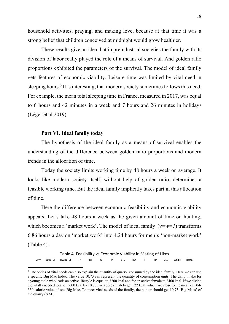household activities, praying, and making love, because at that time it was a strong belief that children conceived at midnight would grow healthier.

These results give an idea that in preindustrial societies the family with its division of labor really played the role of a means of survival. And golden ratio proportions exhibited the parameters of the survival. The model of ideal family gets features of economic viability. Leisure time was limited by vital need in sleeping hours.<sup>3</sup> It is interesting, that modern society sometimes follows this need. For example, the mean total sleeping time in France, measured in 2017, was equal to 6 hours and 42 minutes in a week and 7 hours and 26 minutes in holidays (Léger et al 2019).

## **Part VI. Ideal family today**

The hypothesis of the ideal family as a means of survival enables the understanding of the difference between golden ratio proportions and modern trends in the allocation of time.

Today the society limits working time by 48 hours a week on average. It looks like modern society itself, without help of golden ratio, determines a feasible working time. But the ideal family implicitly takes part in this allocation of time.

Here the difference between economic feasibility and economic viability appears. Let's take 48 hours a week as the given amount of time on hunting, which becomes a 'market work'. The model of ideal family  $(v=w=1)$  transforms 6.86 hours a day on 'market work' into 4.24 hours for men's 'non-market work' (Table 4):

Table 4. Feasibility vs Economic Viability in Mating of Likes w=v Q/(L+S) Hw/(L+S) Tf Td Q P L+S Hw T Hh  $\delta_{wh}$  AddH Htotal

<sup>&</sup>lt;sup>3</sup> The optics of vital needs can also explain the quantity of quarry, consumed by the ideal family. Here we can use a specific Big Mac Index. The value 10.73 can represent the quantity of consumption units. The daily intake for a young male who leads an active lifestyle is equal to 3200 kcal and for an active female to 2400 kcal. If we divide the vitally needed total of 5600 kcal by 10.73, we approximately get 522 kcal, which are close to the mean of 504- 550 caloric value of one Big Mac. To meet vital needs of the family, the hunter should get 10.73 'Big Macs' of the quarry (S.M.)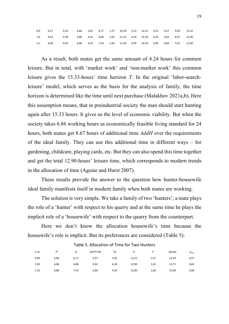| 0,9 | 0,57 0,33 6,86 3,92 6,17 1,57 10,78 3,53 14,31 3,53 0,57 9,69           |  |  |  |  |  | 13,22 |
|-----|-------------------------------------------------------------------------|--|--|--|--|--|-------|
|     | 1,0 0,62 0,38 6,86 4,24 6,86 1,62 11,10 4,24 15,33 4,24 0,62 8,67 12,90 |  |  |  |  |  |       |
|     | 1,1 0,66 0,44 6,86 4,54 7,54 1,66 11,40 4,99 16,39 4,99 0,66 7,61 12,60 |  |  |  |  |  |       |

As a result, both mates get the same amount of 4.24 hours for common leisure. But in total, with 'market work' and 'non-market work' this common leisure gives the 15.33-hours' time horizon *T*. In the original 'labor-searchleisure' model, which serves as the basis for the analysis of family, the time horizon is determined like the time until next purchase (Malakhov 2021a,b). Here this assumption means, that in preindustrial society the man should start hunting again after 15.33 hours. It gives us the level of economic viability. But when the society takes 6.86 working hours as economically feasible living standard for 24 hours, both mates get 8.67 hours of additional time *AddH* over the requirements of the ideal family. They can use this additional time in different ways – for gardening, childcare, playing cards, etc. But they can also spend this time together and get the total 12.90-hours' leisure time, which corresponds to modern trends in the allocation of time (Aguiar and Hurst 2007).

These results provide the answer to the question how hunter-housewife ideal family manifests itself in modern family when both mates are working.

The solution is very simple. We take a family of two 'hunters'; a mate plays the role of a 'hunter' with respect to his quarry and at the same time he plays the implicit role of a 'housewife' with respect to the quarry from the counterpart.

Here we don't know the allocation housewife's time because the housewife's role is implicit. But its preferences are considered (Table 5):

| $V = W$ | Τf   | Q    | $Q/(Tf+Td)$ | Td   | н     |      | Qtotal | $o_{wh}$ |
|---------|------|------|-------------|------|-------|------|--------|----------|
| 0,90    | 6,86 | 6,17 | 0,57        | 3,92 | 13,22 | 1,57 | 12,34  | 0,57     |
| 1,00    | 6,86 | 6,86 | 0,62        | 4,24 | 12,90 | 1,62 | 13,71  | 0,62     |
| 1,10    | 6,86 | 7,54 | 0,66        | 4,54 | 12,60 | 1,66 | 15,09  | 0,66     |

#### Table 5. Allocation of Time for Two Hunters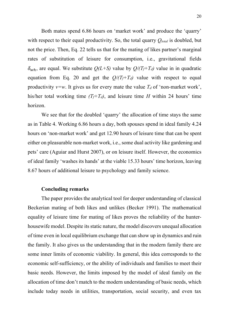Both mates spend 6.86 hours on 'market work' and produce the 'quarry' with respect to their equal productivity. So, the total quarry *Qtotal* is doubled, but not the price. Then, Eq. 22 tells us that for the mating of likes partner's marginal rates of substitution of leisure for consumption, i.e., gravitational fields  $\delta_{wh}$ , are equal. We substitute  $Q(L+S)$  value by  $Q/(T_f+T_d)$  value in in quadratic equation from Eq. 20 and get the  $Q/(T_f+T_d)$  value with respect to equal productivity  $v=w$ . It gives us for every mate the value  $T_d$  of 'non-market work', his/her total working time  $(T_f+T_d)$ , and leisure time *H* within 24 hours' time horizon.

We see that for the doubled 'quarry' the allocation of time stays the same as in Table 4. Working 6.86 hours a day, both spouses spend in ideal family 4.24 hours on 'non-market work' and get 12.90 hours of leisure time that can be spent either on pleasurable non-market work, i.e., some dual activity like gardening and pets' care (Aguiar and Hurst 2007), or on leisure itself. However, the economics of ideal family 'washes its hands' at the viable 15.33 hours' time horizon, leaving 8.67 hours of additional leisure to psychology and family science.

#### **Concluding remarks**

The paper provides the analytical tool for deeper understanding of classical Beckerian mating of both likes and unlikes (Becker 1991). The mathematical equality of leisure time for mating of likes proves the reliability of the hunterhousewife model. Despite its static nature, the model discovers unequal allocation of time even in local equilibrium exchange that can show up in dynamics and ruin the family. It also gives us the understanding that in the modern family there are some inner limits of economic viability. In general, this idea corresponds to the economic self-sufficiency, or the ability of individuals and families to meet their basic needs. However, the limits imposed by the model of ideal family on the allocation of time don't match to the modern understanding of basic needs, which include today needs in utilities, transportation, social security, and even tax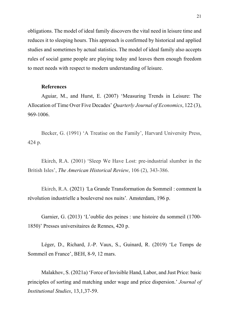obligations. The model of ideal family discovers the vital need in leisure time and reduces it to sleeping hours. This approach is confirmed by historical and applied studies and sometimes by actual statistics. The model of ideal family also accepts rules of social game people are playing today and leaves them enough freedom to meet needs with respect to modern understanding of leisure.

## **References**

Aguiar, M., and Hurst, E. (2007) 'Measuring Trends in Leisure: The Allocation of Time Over Five Decades' *Quarterly Journal of Economics*, 122 (3), 969-1006.

Becker, G. (1991) 'A Treatise on the Family', Harvard University Press, 424 p.

Ekirch, R.A. (2001) 'Sleep We Have Lost: pre-industrial slumber in the British Isles', *The American Historical Review*, 106 (2), 343-386.

Ekirch, R.A. (2021) *'*La Grande Transformation du Sommeil : comment la révolution industrielle a bouleversé nos nuits'*.* Amsterdam, 196 p.

Garnier, G. (2013) 'L'oublie des peines : une histoire du sommeil (1700- 1850)' Presses universitaires de Rennes, 420 p.

Léger, D., Richard, J.-P. Vaux, S., Guinard, R. (2019) 'Le Temps de Sommeil en France', BEH, 8-9, 12 mars.

Malakhov, S. (2021a) 'Force of Invisible Hand, Labor, and Just Price: basic principles of sorting and matching under wage and price dispersion.' *Journal of Institutional Studies*, 13,1,37-59.